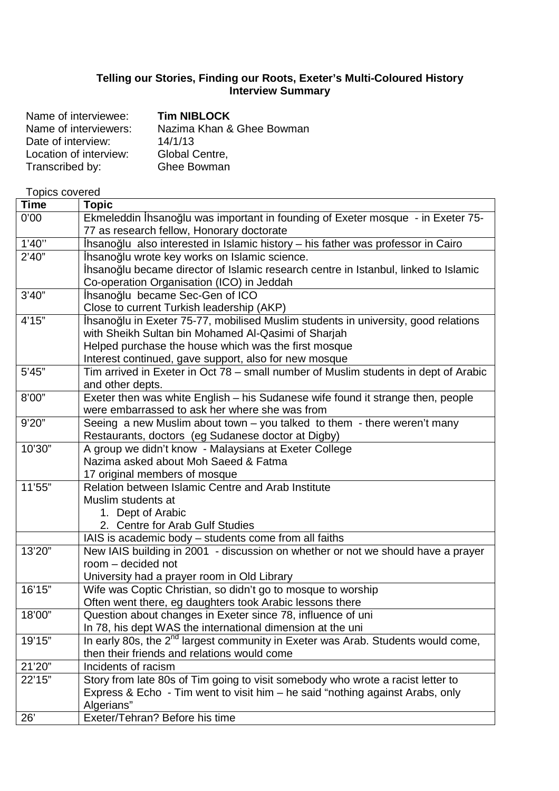## **Telling our Stories, Finding our Roots, Exeter's Multi-Coloured History Interview Summary**

| Name of interviewee:   | <b>Tim NIBLOCK</b>        |
|------------------------|---------------------------|
| Name of interviewers:  | Nazima Khan & Ghee Bowman |
| Date of interview:     | 14/1/13                   |
| Location of interview: | Global Centre,            |
| Transcribed by:        | Ghee Bowman               |

| <b>Topics covered</b> |                                                                                              |
|-----------------------|----------------------------------------------------------------------------------------------|
| <b>Time</b>           | <b>Topic</b>                                                                                 |
| 0'00                  | Ekmeleddin İhsanoğlu was important in founding of Exeter mosque - in Exeter 75-              |
|                       | 77 as research fellow, Honorary doctorate                                                    |
| 1'40''                | İhsanoğlu also interested in Islamic history – his father was professor in Cairo             |
| 2'40"                 | Ihsanoğlu wrote key works on Islamic science.                                                |
|                       | Ihsanoğlu became director of Islamic research centre in Istanbul, linked to Islamic          |
|                       | Co-operation Organisation (ICO) in Jeddah                                                    |
| 3'40''                | İhsanoğlu became Sec-Gen of ICO                                                              |
|                       | Close to current Turkish leadership (AKP)                                                    |
| 4'15"                 | İhsanoğlu in Exeter 75-77, mobilised Muslim students in university, good relations           |
|                       | with Sheikh Sultan bin Mohamed Al-Qasimi of Sharjah                                          |
|                       | Helped purchase the house which was the first mosque                                         |
|                       | Interest continued, gave support, also for new mosque                                        |
| 5'45"                 | Tim arrived in Exeter in Oct 78 - small number of Muslim students in dept of Arabic          |
|                       | and other depts.                                                                             |
| 8'00"                 | Exeter then was white English - his Sudanese wife found it strange then, people              |
|                       | were embarrassed to ask her where she was from                                               |
| 9'20"                 | Seeing a new Muslim about town - you talked to them - there weren't many                     |
|                       | Restaurants, doctors (eg Sudanese doctor at Digby)                                           |
| 10'30"                | A group we didn't know - Malaysians at Exeter College                                        |
|                       | Nazima asked about Moh Saeed & Fatma                                                         |
|                       | 17 original members of mosque                                                                |
| 11'55"                | Relation between Islamic Centre and Arab Institute                                           |
|                       | Muslim students at                                                                           |
|                       | 1. Dept of Arabic                                                                            |
|                       | 2. Centre for Arab Gulf Studies                                                              |
|                       | IAIS is academic body - students come from all faiths                                        |
| 13'20"                | New IAIS building in 2001 - discussion on whether or not we should have a prayer             |
|                       | room - decided not                                                                           |
| 16'15"                | University had a prayer room in Old Library                                                  |
|                       | Wife was Coptic Christian, so didn't go to mosque to worship                                 |
|                       | Often went there, eg daughters took Arabic lessons there                                     |
| 18'00"                | Question about changes in Exeter since 78, influence of uni                                  |
|                       | In 78, his dept WAS the international dimension at the uni                                   |
| 19'15"                | In early 80s, the 2 <sup>nd</sup> largest community in Exeter was Arab. Students would come, |
|                       | then their friends and relations would come                                                  |
| 21'20"                | Incidents of racism                                                                          |
| 22'15"                | Story from late 80s of Tim going to visit somebody who wrote a racist letter to              |
|                       | Express & Echo - Tim went to visit him – he said "nothing against Arabs, only                |
|                       | Algerians"                                                                                   |
| 26'                   | Exeter/Tehran? Before his time                                                               |